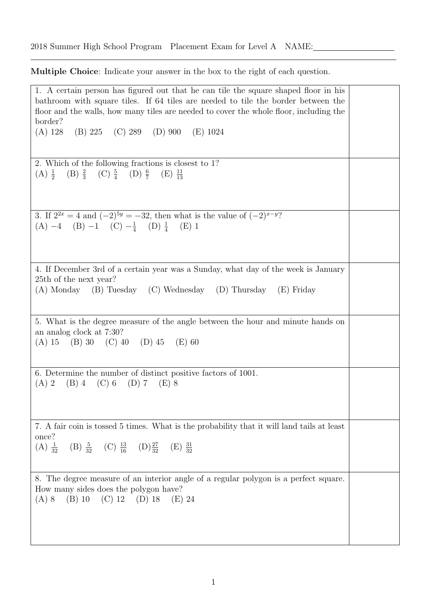Multiple Choice: Indicate your answer in the box to the right of each question.

1. A certain person has figured out that he can tile the square shaped floor in his bathroom with square tiles. If 64 tiles are needed to tile the border between the floor and the walls, how many tiles are needed to cover the whole floor, including the border? (A) 128 (B) 225 (C) 289 (D) 900 (E) 1024 2. Which of the following fractions is closest to 1? (A)  $\frac{1}{2}$  (B)  $\frac{2}{3}$  (C)  $\frac{5}{4}$  (D)  $\frac{6}{7}$  (E)  $\frac{11}{13}$ 3. If  $2^{2x} = 4$  and  $(-2)^{5y} = -32$ , then what is the value of  $(-2)^{x-y}$ ?  $(A) -4$   $(B) -1$   $(C) -\frac{1}{4}$  $\frac{1}{4}$  (D)  $\frac{1}{4}$  (E) 1 4. If December 3rd of a certain year was a Sunday, what day of the week is January 25th of the next year? (A) Monday (B) Tuesday (C) Wednesday (D) Thursday (E) Friday 5. What is the degree measure of the angle between the hour and minute hands on an analog clock at 7:30? (A) 15 (B) 30 (C) 40 (D) 45 (E) 60 6. Determine the number of distinct positive factors of 1001.  $(A) 2 \t(B) 4 \t(C) 6 \t(D) 7 \t(E) 8$ 7. A fair coin is tossed 5 times. What is the probability that it will land tails at least once?  $(A) \frac{1}{32}$  $\frac{1}{32}$  (B)  $\frac{5}{32}$  (C)  $\frac{13}{16}$  (D)  $\frac{27}{32}$  (E)  $\frac{31}{32}$ 8. The degree measure of an interior angle of a regular polygon is a perfect square. How many sides does the polygon have? (A) 8 (B) 10 (C) 12 (D) 18 (E) 24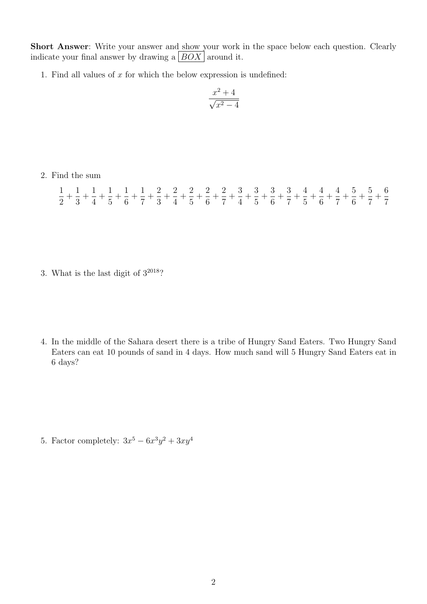Short Answer: Write your answer and show your work in the space below each question. Clearly indicate your final answer by drawing a  $|BOX|$  around it.

1. Find all values of  $x$  for which the below expression is undefined:

$$
\frac{x^2+4}{\sqrt{x^2-4}}
$$

2. Find the sum

|  |  |  |  | $\frac{1}{2} + \frac{1}{3} + \frac{1}{4} + \frac{1}{5} + \frac{1}{6} + \frac{1}{7} + \frac{2}{3} + \frac{2}{4} + \frac{2}{5} + \frac{2}{6} + \frac{2}{7} + \frac{3}{4} + \frac{3}{5} + \frac{3}{6} + \frac{3}{7} + \frac{4}{5} + \frac{4}{6} + \frac{4}{7} + \frac{5}{6} + \frac{5}{7} + \frac{6}{7}$ |  |  |  |  |  |  |
|--|--|--|--|-------------------------------------------------------------------------------------------------------------------------------------------------------------------------------------------------------------------------------------------------------------------------------------------------------|--|--|--|--|--|--|

- 3. What is the last digit of  $3^{2018}$ ?
- 4. In the middle of the Sahara desert there is a tribe of Hungry Sand Eaters. Two Hungry Sand Eaters can eat 10 pounds of sand in 4 days. How much sand will 5 Hungry Sand Eaters eat in 6 days?

5. Factor completely:  $3x^5 - 6x^3y^2 + 3xy^4$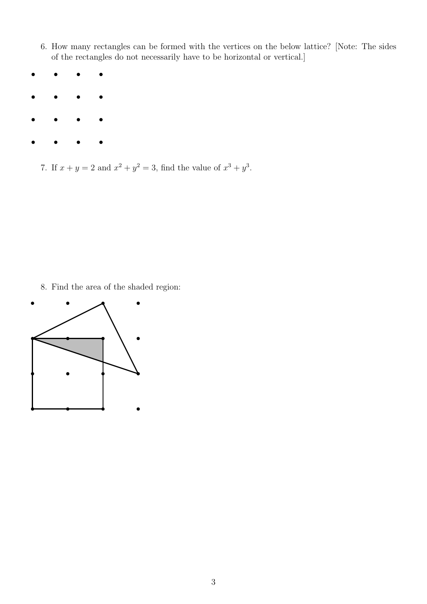- 6. How many rectangles can be formed with the vertices on the below lattice? [Note: The sides of the rectangles do not necessarily have to be horizontal or vertical.]
- 
- - 7. If  $x + y = 2$  and  $x^2 + y^2 = 3$ , find the value of  $x^3 + y^3$ .

8. Find the area of the shaded region: